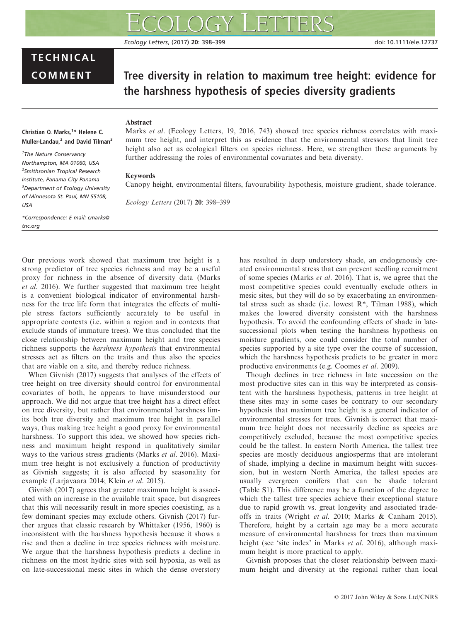# **TECHNICAL**

# COMMENT Tree diversity in relation to maximum tree height: evidence for the harshness hypothesis of species diversity gradients

## Abstract

Christian O. Marks,<sup>1</sup>\* Helene C. Muller-Landau,<sup>2</sup> and David Tilman<sup>3</sup>

<sup>1</sup>The Nature Conservancy Northampton, MA 01060, USA 2 Smithsonian Tropical Research Institute, Panama City Panama 3 Department of Ecology University of Minnesota St. Paul, MN 55108, USA

\*Correspondence: E-mail: cmarks@ tnc.org

Marks et al. (Ecology Letters, 19, 2016, 743) showed tree species richness correlates with maximum tree height, and interpret this as evidence that the environmental stressors that limit tree height also act as ecological filters on species richness. Here, we strengthen these arguments by further addressing the roles of environmental covariates and beta diversity.

#### Keywords

Canopy height, environmental filters, favourability hypothesis, moisture gradient, shade tolerance.

Ecology Letters (2017) 20: 398–399

Our previous work showed that maximum tree height is a strong predictor of tree species richness and may be a useful proxy for richness in the absence of diversity data (Marks et al. 2016). We further suggested that maximum tree height is a convenient biological indicator of environmental harshness for the tree life form that integrates the effects of multiple stress factors sufficiently accurately to be useful in appropriate contexts (i.e. within a region and in contexts that exclude stands of immature trees). We thus concluded that the close relationship between maximum height and tree species richness supports the harshness hypothesis that environmental stresses act as filters on the traits and thus also the species that are viable on a site, and thereby reduce richness.

When Givnish (2017) suggests that analyses of the effects of tree height on tree diversity should control for environmental covariates of both, he appears to have misunderstood our approach. We did not argue that tree height has a direct effect on tree diversity, but rather that environmental harshness limits both tree diversity and maximum tree height in parallel ways, thus making tree height a good proxy for environmental harshness. To support this idea, we showed how species richness and maximum height respond in qualitatively similar ways to the various stress gradients (Marks et al. 2016). Maximum tree height is not exclusively a function of productivity as Givnish suggests; it is also affected by seasonality for example (Larjavaara 2014; Klein et al. 2015).

Givnish (2017) agrees that greater maximum height is associated with an increase in the available trait space, but disagrees that this will necessarily result in more species coexisting, as a few dominant species may exclude others. Givnish (2017) further argues that classic research by Whittaker (1956, 1960) is inconsistent with the harshness hypothesis because it shows a rise and then a decline in tree species richness with moisture. We argue that the harshness hypothesis predicts a decline in richness on the most hydric sites with soil hypoxia, as well as on late-successional mesic sites in which the dense overstory has resulted in deep understory shade, an endogenously created environmental stress that can prevent seedling recruitment of some species (Marks et al. 2016). That is, we agree that the most competitive species could eventually exclude others in mesic sites, but they will do so by exacerbating an environmental stress such as shade (i.e. lowest  $R^*$ , Tilman 1988), which makes the lowered diversity consistent with the harshness hypothesis. To avoid the confounding effects of shade in latesuccessional plots when testing the harshness hypothesis on moisture gradients, one could consider the total number of species supported by a site type over the course of succession, which the harshness hypothesis predicts to be greater in more productive environments (e.g. Coomes et al. 2009).

Though declines in tree richness in late succession on the most productive sites can in this way be interpreted as consistent with the harshness hypothesis, patterns in tree height at these sites may in some cases be contrary to our secondary hypothesis that maximum tree height is a general indicator of environmental stresses for trees. Givnish is correct that maximum tree height does not necessarily decline as species are competitively excluded, because the most competitive species could be the tallest. In eastern North America, the tallest tree species are mostly deciduous angiosperms that are intolerant of shade, implying a decline in maximum height with succession, but in western North America, the tallest species are usually evergreen conifers that can be shade tolerant (Table S1). This difference may be a function of the degree to which the tallest tree species achieve their exceptional stature due to rapid growth vs. great longevity and associated tradeoffs in traits (Wright et al. 2010; Marks & Canham 2015). Therefore, height by a certain age may be a more accurate measure of environmental harshness for trees than maximum height (see 'site index' in Marks et al. 2016), although maximum height is more practical to apply.

Givnish proposes that the closer relationship between maximum height and diversity at the regional rather than local